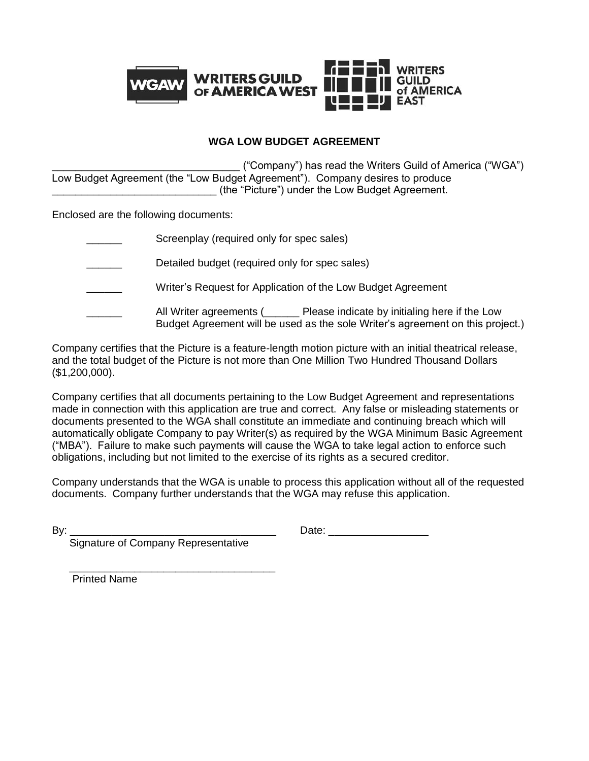

### **WGA LOW BUDGET AGREEMENT**

\_\_\_\_\_\_\_\_\_\_\_\_\_\_\_\_\_\_\_\_\_\_\_\_\_\_\_\_\_\_\_\_ ("Company") has read the Writers Guild of America ("WGA") Low Budget Agreement (the "Low Budget Agreement"). Company desires to produce (the "Picture") under the Low Budget Agreement.

Enclosed are the following documents:

| Screenplay (required only for spec sales)                                                                                                                                 |
|---------------------------------------------------------------------------------------------------------------------------------------------------------------------------|
| Detailed budget (required only for spec sales)                                                                                                                            |
| Writer's Request for Application of the Low Budget Agreement                                                                                                              |
| All Writer agreements ( <u>Letter and Please</u> indicate by initialing here if the Low<br>Budget Agreement will be used as the sole Writer's agreement on this project.) |

Company certifies that the Picture is a feature-length motion picture with an initial theatrical release, and the total budget of the Picture is not more than One Million Two Hundred Thousand Dollars (\$1,200,000).

Company certifies that all documents pertaining to the Low Budget Agreement and representations made in connection with this application are true and correct. Any false or misleading statements or documents presented to the WGA shall constitute an immediate and continuing breach which will automatically obligate Company to pay Writer(s) as required by the WGA Minimum Basic Agreement ("MBA"). Failure to make such payments will cause the WGA to take legal action to enforce such obligations, including but not limited to the exercise of its rights as a secured creditor.

Company understands that the WGA is unable to process this application without all of the requested documents. Company further understands that the WGA may refuse this application.

| ۰.<br>۰. |  |
|----------|--|

Date:  $\Box$ 

Signature of Company Representative

 $\frac{1}{\sqrt{2}}$  ,  $\frac{1}{\sqrt{2}}$  ,  $\frac{1}{\sqrt{2}}$  ,  $\frac{1}{\sqrt{2}}$  ,  $\frac{1}{\sqrt{2}}$  ,  $\frac{1}{\sqrt{2}}$  ,  $\frac{1}{\sqrt{2}}$  ,  $\frac{1}{\sqrt{2}}$  ,  $\frac{1}{\sqrt{2}}$  ,  $\frac{1}{\sqrt{2}}$  ,  $\frac{1}{\sqrt{2}}$  ,  $\frac{1}{\sqrt{2}}$  ,  $\frac{1}{\sqrt{2}}$  ,  $\frac{1}{\sqrt{2}}$  ,  $\frac{1}{\sqrt{2}}$ Printed Name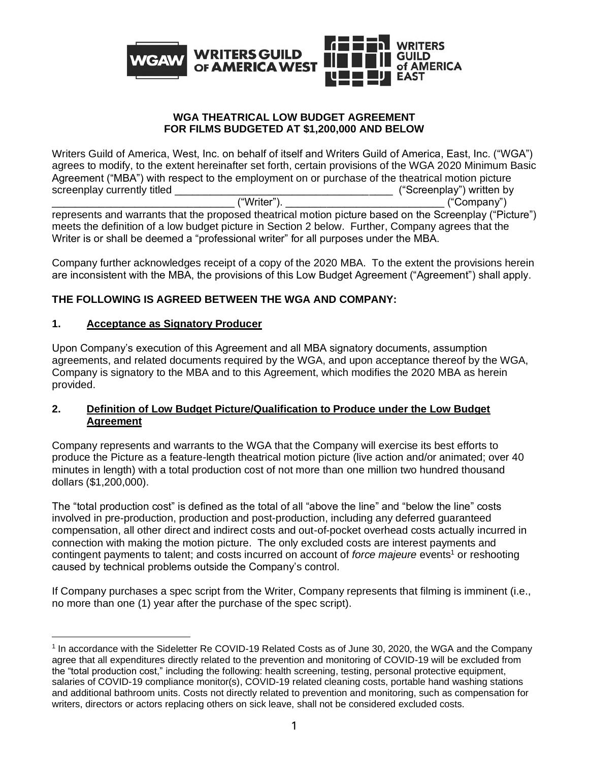

### **WGA THEATRICAL LOW BUDGET AGREEMENT FOR FILMS BUDGETED AT \$1,200,000 AND BELOW**

Writers Guild of America, West, Inc. on behalf of itself and Writers Guild of America, East, Inc. ("WGA") agrees to modify, to the extent hereinafter set forth, certain provisions of the WGA 2020 Minimum Basic Agreement ("MBA") with respect to the employment on or purchase of the theatrical motion picture screenplay currently titled  $($ Screenplay ourrently titled  $($ Screenplay") written by \_\_\_\_\_\_\_\_\_\_\_\_\_\_\_\_\_\_\_\_\_\_\_\_\_\_\_\_\_\_\_ ("Writer"). \_\_\_\_\_\_\_\_\_\_\_\_\_\_\_\_\_\_\_\_\_\_\_\_\_\_\_ ("Company")

represents and warrants that the proposed theatrical motion picture based on the Screenplay ("Picture") meets the definition of a low budget picture in Section 2 below. Further, Company agrees that the Writer is or shall be deemed a "professional writer" for all purposes under the MBA.

Company further acknowledges receipt of a copy of the 2020 MBA. To the extent the provisions herein are inconsistent with the MBA, the provisions of this Low Budget Agreement ("Agreement") shall apply.

## **THE FOLLOWING IS AGREED BETWEEN THE WGA AND COMPANY:**

### **1. Acceptance as Signatory Producer**

Upon Company's execution of this Agreement and all MBA signatory documents, assumption agreements, and related documents required by the WGA, and upon acceptance thereof by the WGA, Company is signatory to the MBA and to this Agreement, which modifies the 2020 MBA as herein provided.

## **2. Definition of Low Budget Picture/Qualification to Produce under the Low Budget Agreement**

Company represents and warrants to the WGA that the Company will exercise its best efforts to produce the Picture as a feature-length theatrical motion picture (live action and/or animated; over 40 minutes in length) with a total production cost of not more than one million two hundred thousand dollars (\$1,200,000).

The "total production cost" is defined as the total of all "above the line" and "below the line" costs involved in pre-production, production and post-production, including any deferred guaranteed compensation, all other direct and indirect costs and out-of-pocket overhead costs actually incurred in connection with making the motion picture. The only excluded costs are interest payments and contingent payments to talent; and costs incurred on account of *force majeure* events<sup>1</sup> or reshooting caused by technical problems outside the Company's control.

If Company purchases a spec script from the Writer, Company represents that filming is imminent (i.e., no more than one (1) year after the purchase of the spec script).

<sup>&</sup>lt;sup>1</sup> In accordance with the Sideletter Re COVID-19 Related Costs as of June 30, 2020, the WGA and the Company agree that all expenditures directly related to the prevention and monitoring of COVID-19 will be excluded from the "total production cost," including the following: health screening, testing, personal protective equipment, salaries of COVID-19 compliance monitor(s), COVID-19 related cleaning costs, portable hand washing stations and additional bathroom units. Costs not directly related to prevention and monitoring, such as compensation for writers, directors or actors replacing others on sick leave, shall not be considered excluded costs.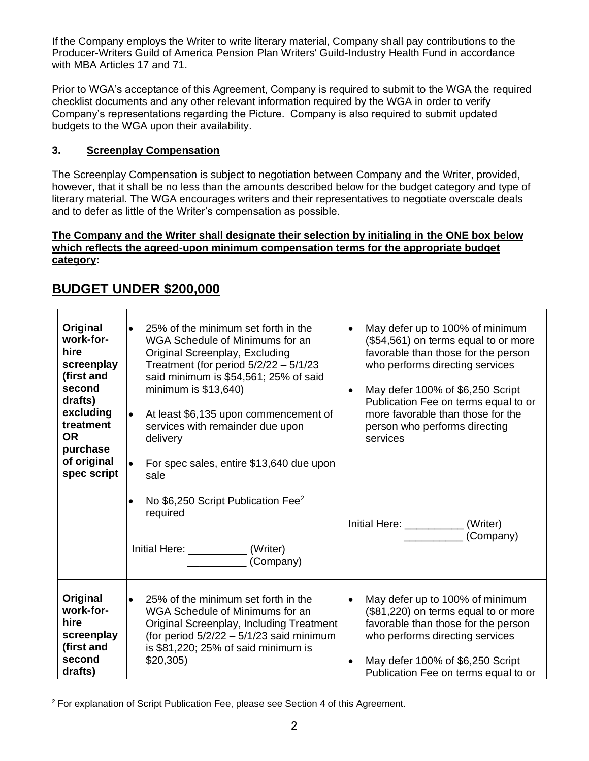If the Company employs the Writer to write literary material, Company shall pay contributions to the Producer-Writers Guild of America Pension Plan Writers' Guild-Industry Health Fund in accordance with MBA Articles 17 and 71.

Prior to WGA's acceptance of this Agreement, Company is required to submit to the WGA the required checklist documents and any other relevant information required by the WGA in order to verify Company's representations regarding the Picture. Company is also required to submit updated budgets to the WGA upon their availability.

## **3. Screenplay Compensation**

The Screenplay Compensation is subject to negotiation between Company and the Writer, provided, however, that it shall be no less than the amounts described below for the budget category and type of literary material. The WGA encourages writers and their representatives to negotiate overscale deals and to defer as little of the Writer's compensation as possible.

### **The Company and the Writer shall designate their selection by initialing in the ONE box below which reflects the agreed-upon minimum compensation terms for the appropriate budget category:**

| Original<br>work-for-<br>hire<br>screenplay<br>(first and<br>second<br>drafts)<br>excluding<br>treatment<br>OR.<br>purchase<br>of original<br>spec script | 25% of the minimum set forth in the<br>$\bullet$<br>WGA Schedule of Minimums for an<br>Original Screenplay, Excluding<br>Treatment (for period $5/2/22 - 5/1/23$<br>said minimum is \$54,561; 25% of said<br>minimum is $$13,640$ )<br>At least \$6,135 upon commencement of<br>$\bullet$<br>services with remainder due upon<br>delivery<br>For spec sales, entire \$13,640 due upon<br>sale<br>No \$6,250 Script Publication Fee <sup>2</sup><br>$\bullet$<br>required | May defer up to 100% of minimum<br>(\$54,561) on terms equal to or more<br>favorable than those for the person<br>who performs directing services<br>May defer 100% of \$6,250 Script<br>$\bullet$<br>Publication Fee on terms equal to or<br>more favorable than those for the<br>person who performs directing<br>services<br>Initial Here: _________<br>(Writer) |
|-----------------------------------------------------------------------------------------------------------------------------------------------------------|--------------------------------------------------------------------------------------------------------------------------------------------------------------------------------------------------------------------------------------------------------------------------------------------------------------------------------------------------------------------------------------------------------------------------------------------------------------------------|---------------------------------------------------------------------------------------------------------------------------------------------------------------------------------------------------------------------------------------------------------------------------------------------------------------------------------------------------------------------|
|                                                                                                                                                           | Initial Here: _____________(Writer)<br>(Company)                                                                                                                                                                                                                                                                                                                                                                                                                         | (Company)                                                                                                                                                                                                                                                                                                                                                           |
| Original<br>work-for-<br>hire<br>screenplay<br>(first and<br>second<br>drafts)                                                                            | 25% of the minimum set forth in the<br>$\bullet$<br>WGA Schedule of Minimums for an<br>Original Screenplay, Including Treatment<br>(for period $5/2/22 - 5/1/23$ said minimum<br>is $$81,220$ ; $25\%$ of said minimum is<br>\$20,305                                                                                                                                                                                                                                    | May defer up to 100% of minimum<br>$\bullet$<br>(\$81,220) on terms equal to or more<br>favorable than those for the person<br>who performs directing services<br>May defer 100% of \$6,250 Script<br>Publication Fee on terms equal to or                                                                                                                          |

## **BUDGET UNDER \$200,000**

 $\blacksquare$ 

<sup>2</sup> For explanation of Script Publication Fee, please see Section 4 of this Agreement.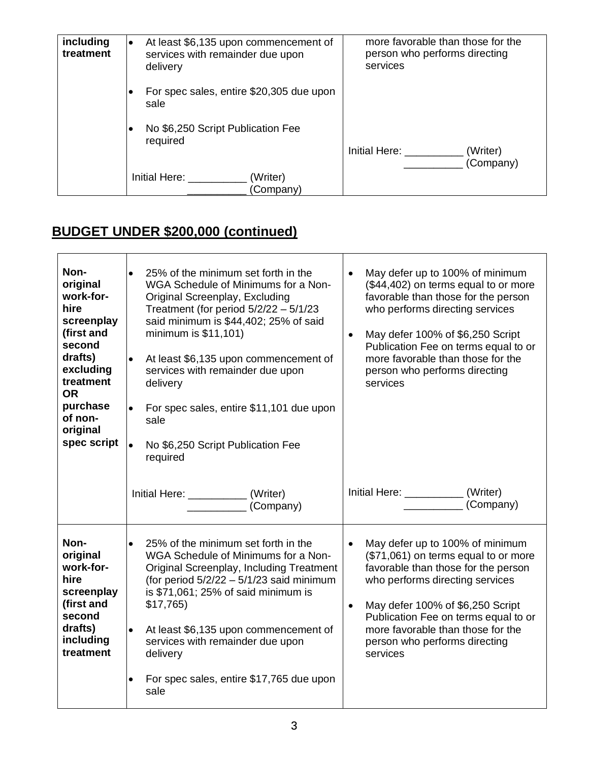| including<br>treatment | At least \$6,135 upon commencement of<br>$\bullet$<br>services with remainder due upon<br>delivery | more favorable than those for the<br>person who performs directing<br>services |
|------------------------|----------------------------------------------------------------------------------------------------|--------------------------------------------------------------------------------|
|                        | For spec sales, entire \$20,305 due upon<br>sale                                                   |                                                                                |
|                        | No \$6,250 Script Publication Fee<br>required                                                      | Initial Here:<br>(Writer)<br>(Company)                                         |
|                        | Initial Here:<br>(Writer)<br>(Company)                                                             |                                                                                |

# **BUDGET UNDER \$200,000 (continued)**

| Non-<br>original<br>work-for-<br>hire<br>screenplay<br>(first and<br>second<br>drafts)<br>excluding<br>treatment<br><b>OR</b><br>purchase<br>of non-<br>original<br>spec script | 25% of the minimum set forth in the<br>$\bullet$<br>WGA Schedule of Minimums for a Non-<br>Original Screenplay, Excluding<br>Treatment (for period $5/2/22 - 5/1/23$<br>said minimum is \$44,402; 25% of said<br>minimum is \$11,101)<br>At least \$6,135 upon commencement of<br>$\bullet$<br>services with remainder due upon<br>delivery<br>For spec sales, entire \$11,101 due upon<br>$\bullet$<br>sale<br>No \$6,250 Script Publication Fee<br>required | May defer up to 100% of minimum<br>(\$44,402) on terms equal to or more<br>favorable than those for the person<br>who performs directing services<br>May defer 100% of \$6,250 Script<br>$\bullet$<br>Publication Fee on terms equal to or<br>more favorable than those for the<br>person who performs directing<br>services |
|---------------------------------------------------------------------------------------------------------------------------------------------------------------------------------|---------------------------------------------------------------------------------------------------------------------------------------------------------------------------------------------------------------------------------------------------------------------------------------------------------------------------------------------------------------------------------------------------------------------------------------------------------------|------------------------------------------------------------------------------------------------------------------------------------------------------------------------------------------------------------------------------------------------------------------------------------------------------------------------------|
|                                                                                                                                                                                 | Initial Here: ______________(Writer)<br>(Company)                                                                                                                                                                                                                                                                                                                                                                                                             | Initial Here: $\frac{1}{2}$<br>(Writer)<br>(Company)                                                                                                                                                                                                                                                                         |
| Non-<br>original<br>work-for-<br>hire<br>screenplay<br>(first and<br>second<br>drafts)<br>including<br>treatment                                                                | 25% of the minimum set forth in the<br>$\bullet$<br>WGA Schedule of Minimums for a Non-<br>Original Screenplay, Including Treatment<br>(for period $5/2/22 - 5/1/23$ said minimum<br>is \$71,061; 25% of said minimum is<br>\$17,765<br>At least \$6,135 upon commencement of<br>$\bullet$<br>services with remainder due upon<br>delivery<br>For spec sales, entire \$17,765 due upon<br>$\bullet$<br>sale                                                   | May defer up to 100% of minimum<br>(\$71,061) on terms equal to or more<br>favorable than those for the person<br>who performs directing services<br>May defer 100% of \$6,250 Script<br>$\bullet$<br>Publication Fee on terms equal to or<br>more favorable than those for the<br>person who performs directing<br>services |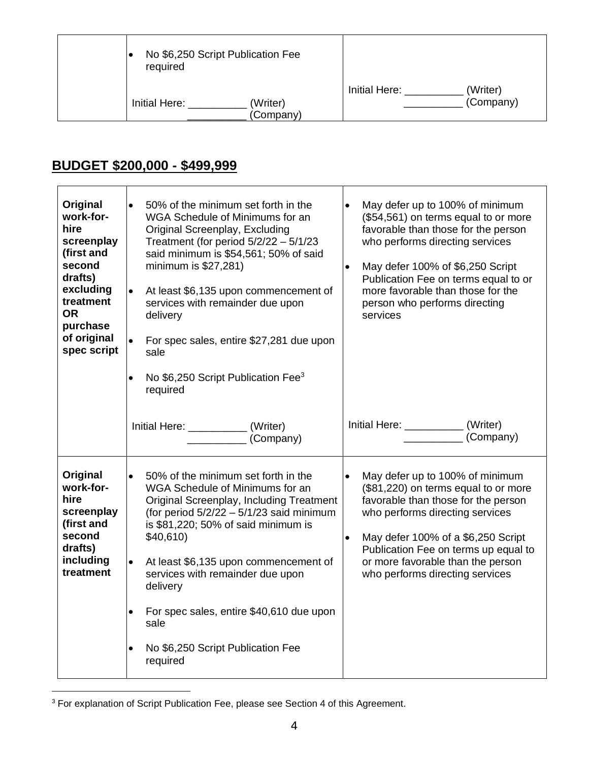| No \$6,250 Script Publication Fee<br>required |                       |               |                       |
|-----------------------------------------------|-----------------------|---------------|-----------------------|
| Initial Here:                                 | (Writer)<br>(Company) | Initial Here: | (Writer)<br>(Company) |

## **BUDGET \$200,000 - \$499,999**

| Original<br>work-for-<br>hire<br>screenplay<br>(first and<br>second<br>drafts)<br>excluding<br>treatment<br><b>OR</b><br>purchase<br>of original<br>spec script | $\bullet$<br>50% of the minimum set forth in the<br>WGA Schedule of Minimums for an<br>Original Screenplay, Excluding<br>Treatment (for period $5/2/22 - 5/1/23$<br>said minimum is \$54,561; 50% of said<br>minimum is \$27,281)<br>At least \$6,135 upon commencement of<br>$\bullet$<br>services with remainder due upon<br>delivery<br>For spec sales, entire \$27,281 due upon<br>$\bullet$<br>sale<br>No \$6,250 Script Publication Fee <sup>3</sup><br>$\bullet$<br>required | $\bullet$<br>May defer up to 100% of minimum<br>(\$54,561) on terms equal to or more<br>favorable than those for the person<br>who performs directing services<br>May defer 100% of \$6,250 Script<br>$\bullet$<br>Publication Fee on terms equal to or<br>more favorable than those for the<br>person who performs directing<br>services |
|-----------------------------------------------------------------------------------------------------------------------------------------------------------------|-------------------------------------------------------------------------------------------------------------------------------------------------------------------------------------------------------------------------------------------------------------------------------------------------------------------------------------------------------------------------------------------------------------------------------------------------------------------------------------|-------------------------------------------------------------------------------------------------------------------------------------------------------------------------------------------------------------------------------------------------------------------------------------------------------------------------------------------|
|                                                                                                                                                                 | Initial Here: _____________(Writer)<br>(Company)                                                                                                                                                                                                                                                                                                                                                                                                                                    | Initial Here: _________<br>(Writer)<br>(Company)                                                                                                                                                                                                                                                                                          |
| Original<br>work-for-<br>hire<br>screenplay<br>(first and<br>second<br>drafts)<br>including<br>treatment                                                        | 50% of the minimum set forth in the<br>$\bullet$<br>WGA Schedule of Minimums for an<br>Original Screenplay, Including Treatment<br>(for period $5/2/22 - 5/1/23$ said minimum<br>is \$81,220; 50% of said minimum is<br>\$40,610<br>At least \$6,135 upon commencement of<br>$\bullet$<br>services with remainder due upon<br>delivery<br>For spec sales, entire \$40,610 due upon<br>$\bullet$<br>sale<br>No \$6,250 Script Publication Fee<br>$\bullet$<br>required               | $\bullet$<br>May defer up to 100% of minimum<br>(\$81,220) on terms equal to or more<br>favorable than those for the person<br>who performs directing services<br>May defer 100% of a \$6,250 Script<br>$\bullet$<br>Publication Fee on terms up equal to<br>or more favorable than the person<br>who performs directing services         |

<sup>3</sup> For explanation of Script Publication Fee, please see Section 4 of this Agreement.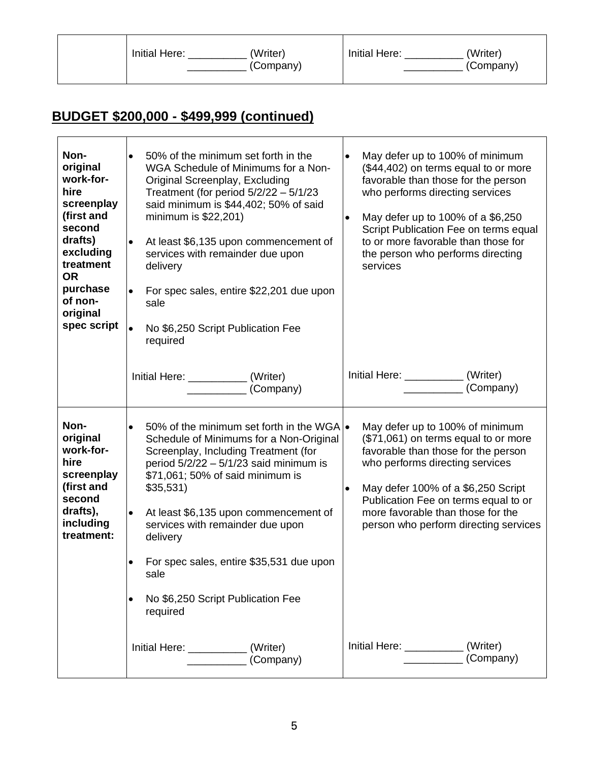|  | Initial Here: | (Writer)<br>(Company) | Initial Here: | 'Writer)<br>(Company) |
|--|---------------|-----------------------|---------------|-----------------------|
|--|---------------|-----------------------|---------------|-----------------------|

# **BUDGET \$200,000 - \$499,999 (continued)**

 $\mathbf{r}$ 

| Non-<br>original<br>work-for-<br>hire<br>screenplay<br>(first and<br>second<br>drafts)<br>excluding<br>treatment<br><b>OR</b><br>purchase<br>of non-<br>original<br>spec script | 50% of the minimum set forth in the<br>$\bullet$<br>WGA Schedule of Minimums for a Non-<br>Original Screenplay, Excluding<br>Treatment (for period $5/2/22 - 5/1/23$<br>said minimum is \$44,402; 50% of said<br>minimum is \$22,201)<br>At least \$6,135 upon commencement of<br>$\bullet$<br>services with remainder due upon<br>delivery<br>For spec sales, entire \$22,201 due upon<br>$\bullet$<br>sale<br>No \$6,250 Script Publication Fee<br>$\bullet$<br>required<br>Initial Here: _____________(Writer)<br>(Company)                   | May defer up to 100% of minimum<br>$\bullet$<br>(\$44,402) on terms equal to or more<br>favorable than those for the person<br>who performs directing services<br>May defer up to 100% of a \$6,250<br>$\bullet$<br>Script Publication Fee on terms equal<br>to or more favorable than those for<br>the person who performs directing<br>services<br>Initial Here: _____________ (Writer)<br>(Company)                     |
|---------------------------------------------------------------------------------------------------------------------------------------------------------------------------------|--------------------------------------------------------------------------------------------------------------------------------------------------------------------------------------------------------------------------------------------------------------------------------------------------------------------------------------------------------------------------------------------------------------------------------------------------------------------------------------------------------------------------------------------------|----------------------------------------------------------------------------------------------------------------------------------------------------------------------------------------------------------------------------------------------------------------------------------------------------------------------------------------------------------------------------------------------------------------------------|
| Non-<br>original<br>work-for-<br>hire<br>screenplay<br>(first and<br>second<br>drafts),<br>including<br>treatment:                                                              | 50% of the minimum set forth in the WGA $\bullet$<br>$\bullet$<br>Schedule of Minimums for a Non-Original<br>Screenplay, Including Treatment (for<br>period $5/2/22 - 5/1/23$ said minimum is<br>\$71,061; 50% of said minimum is<br>$$35,531$ )<br>At least \$6,135 upon commencement of<br>$\bullet$<br>services with remainder due upon<br>delivery<br>For spec sales, entire \$35,531 due upon<br>٠<br>sale<br>No \$6,250 Script Publication Fee<br>$\bullet$<br>required<br>Initial Here: ______________(Writer)<br>$\sqrt{1 - (Comparly)}$ | May defer up to 100% of minimum<br>(\$71,061) on terms equal to or more<br>favorable than those for the person<br>who performs directing services<br>May defer 100% of a \$6,250 Script<br>$\bullet$<br>Publication Fee on terms equal to or<br>more favorable than those for the<br>person who perform directing services<br>Initial Here: ______________ (Writer)<br>(Company)<br><u>experience</u> and the state of the |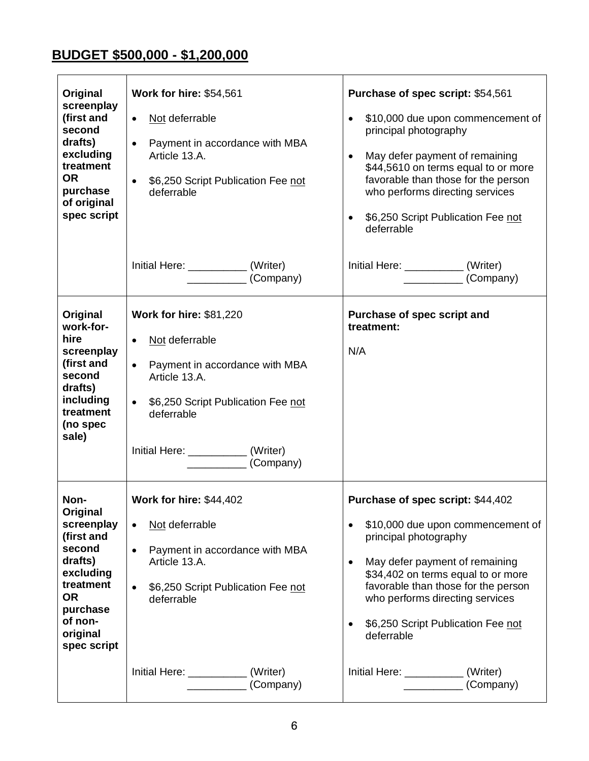## **BUDGET \$500,000 - \$1,200,000**

| Original<br>screenplay<br>(first and<br>second<br>drafts)<br>excluding<br>treatment<br><b>OR</b><br>purchase<br>of original<br>spec script                 | <b>Work for hire: \$54,561</b><br>Not deferrable<br>$\bullet$<br>Payment in accordance with MBA<br>$\bullet$<br>Article 13.A.<br>\$6,250 Script Publication Fee not<br>$\bullet$<br>deferrable                                                     | Purchase of spec script: \$54,561<br>\$10,000 due upon commencement of<br>$\bullet$<br>principal photography<br>May defer payment of remaining<br>$\bullet$<br>\$44,5610 on terms equal to or more<br>favorable than those for the person<br>who performs directing services<br>\$6,250 Script Publication Fee not<br>$\bullet$<br>deferrable                                        |
|------------------------------------------------------------------------------------------------------------------------------------------------------------|----------------------------------------------------------------------------------------------------------------------------------------------------------------------------------------------------------------------------------------------------|--------------------------------------------------------------------------------------------------------------------------------------------------------------------------------------------------------------------------------------------------------------------------------------------------------------------------------------------------------------------------------------|
|                                                                                                                                                            | Initial Here: ___________(Writer)<br>(Company)                                                                                                                                                                                                     | Initial Here: ______________(Writer)<br>(Company)                                                                                                                                                                                                                                                                                                                                    |
| Original<br>work-for-<br>hire<br>screenplay<br>(first and<br>second<br>drafts)<br>including<br>treatment<br>(no spec<br>sale)                              | <b>Work for hire: \$81,220</b><br>Not deferrable<br>$\bullet$<br>Payment in accordance with MBA<br>$\bullet$<br>Article 13.A.<br>\$6,250 Script Publication Fee not<br>$\bullet$<br>deferrable<br>Initial Here: ____________(Writer)<br>(Company)  | Purchase of spec script and<br>treatment:<br>N/A                                                                                                                                                                                                                                                                                                                                     |
| Non-<br>Original<br>screenplay<br>(first and<br>second<br>drafts)<br>excluding<br>treatment<br><b>OR</b><br>purchase<br>of non-<br>original<br>spec script | <b>Work for hire: \$44,402</b><br>Not deferrable<br>$\bullet$<br>Payment in accordance with MBA<br>$\bullet$<br>Article 13.A.<br>\$6,250 Script Publication Fee not<br>$\bullet$<br>deferrable<br>Initial Here: _____________(Writer)<br>(Company) | Purchase of spec script: \$44,402<br>\$10,000 due upon commencement of<br>principal photography<br>May defer payment of remaining<br>$\bullet$<br>\$34,402 on terms equal to or more<br>favorable than those for the person<br>who performs directing services<br>\$6,250 Script Publication Fee not<br>deferrable<br>Initial Here: _____________(Writer)<br>$\frac{1}{2}$ (Company) |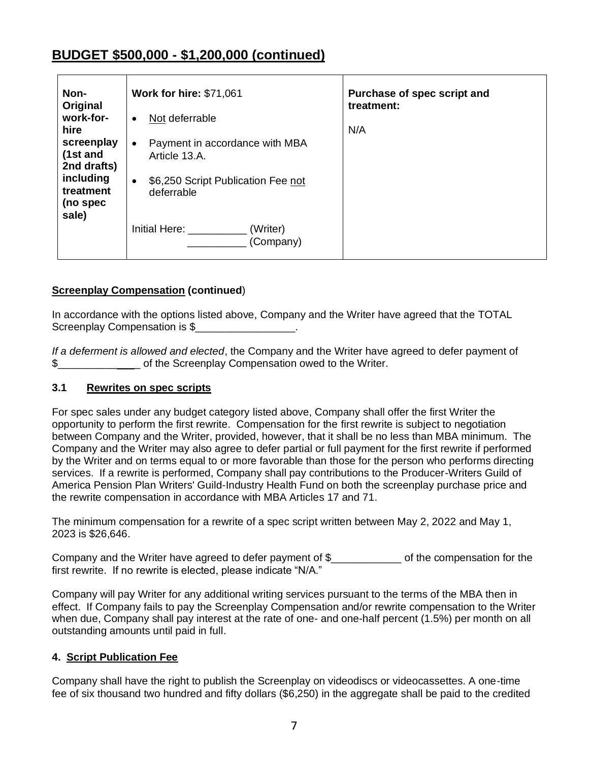## **BUDGET \$500,000 - \$1,200,000 (continued)**

| Non-<br>Original                                           | <b>Work for hire: \$71,061</b>                                                              | Purchase of spec script and<br>treatment: |
|------------------------------------------------------------|---------------------------------------------------------------------------------------------|-------------------------------------------|
| work-for-<br>hire<br>screenplay<br>(1st and<br>2nd drafts) | Not deferrable<br>$\bullet$<br>Payment in accordance with MBA<br>$\bullet$<br>Article 13.A. | N/A                                       |
| including<br>treatment<br>(no spec<br>sale)                | \$6,250 Script Publication Fee not<br>$\bullet$<br>deferrable                               |                                           |
|                                                            | (Writer)<br>Initial Here:<br>(Company)                                                      |                                           |

## **Screenplay Compensation (continued**)

In accordance with the options listed above, Company and the Writer have agreed that the TOTAL Screenplay Compensation is \$

*If a deferment is allowed and elected*, the Company and the Writer have agreed to defer payment of \$\_\_\_\_\_\_\_\_\_\_\_\_\_\_ of the Screenplay Compensation owed to the Writer.

### **3.1 Rewrites on spec scripts**

For spec sales under any budget category listed above, Company shall offer the first Writer the opportunity to perform the first rewrite. Compensation for the first rewrite is subject to negotiation between Company and the Writer, provided, however, that it shall be no less than MBA minimum. The Company and the Writer may also agree to defer partial or full payment for the first rewrite if performed by the Writer and on terms equal to or more favorable than those for the person who performs directing services. If a rewrite is performed, Company shall pay contributions to the Producer-Writers Guild of America Pension Plan Writers' Guild-Industry Health Fund on both the screenplay purchase price and the rewrite compensation in accordance with MBA Articles 17 and 71.

The minimum compensation for a rewrite of a spec script written between May 2, 2022 and May 1, 2023 is \$26,646.

Company and the Writer have agreed to defer payment of \$ The compensation for the first rewrite. If no rewrite is elected, please indicate "N/A."

Company will pay Writer for any additional writing services pursuant to the terms of the MBA then in effect. If Company fails to pay the Screenplay Compensation and/or rewrite compensation to the Writer when due, Company shall pay interest at the rate of one- and one-half percent (1.5%) per month on all outstanding amounts until paid in full.

### **4. Script Publication Fee**

Company shall have the right to publish the Screenplay on videodiscs or videocassettes. A one-time fee of six thousand two hundred and fifty dollars (\$6,250) in the aggregate shall be paid to the credited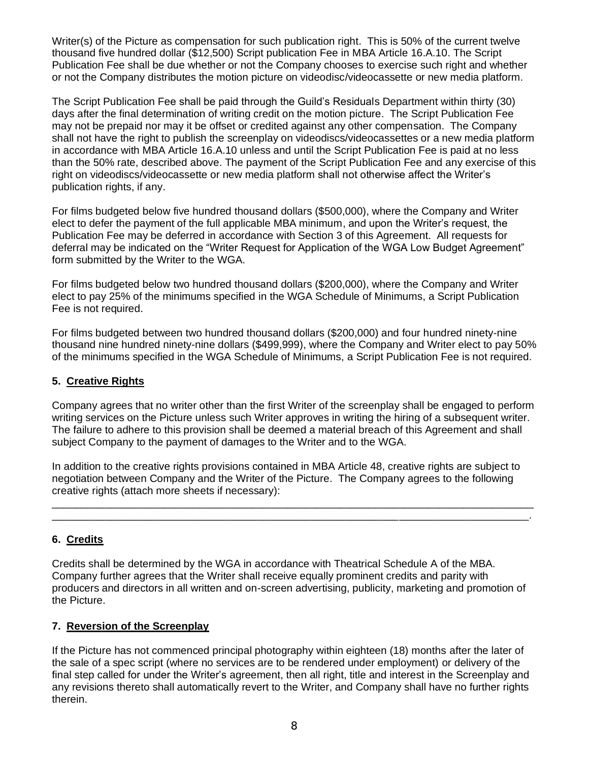Writer(s) of the Picture as compensation for such publication right. This is 50% of the current twelve thousand five hundred dollar (\$12,500) Script publication Fee in MBA Article 16.A.10. The Script Publication Fee shall be due whether or not the Company chooses to exercise such right and whether or not the Company distributes the motion picture on videodisc/videocassette or new media platform.

The Script Publication Fee shall be paid through the Guild's Residuals Department within thirty (30) days after the final determination of writing credit on the motion picture. The Script Publication Fee may not be prepaid nor may it be offset or credited against any other compensation. The Company shall not have the right to publish the screenplay on videodiscs/videocassettes or a new media platform in accordance with MBA Article 16.A.10 unless and until the Script Publication Fee is paid at no less than the 50% rate, described above. The payment of the Script Publication Fee and any exercise of this right on videodiscs/videocassette or new media platform shall not otherwise affect the Writer's publication rights, if any.

For films budgeted below five hundred thousand dollars (\$500,000), where the Company and Writer elect to defer the payment of the full applicable MBA minimum, and upon the Writer's request, the Publication Fee may be deferred in accordance with Section 3 of this Agreement. All requests for deferral may be indicated on the "Writer Request for Application of the WGA Low Budget Agreement" form submitted by the Writer to the WGA.

For films budgeted below two hundred thousand dollars (\$200,000), where the Company and Writer elect to pay 25% of the minimums specified in the WGA Schedule of Minimums, a Script Publication Fee is not required.

For films budgeted between two hundred thousand dollars (\$200,000) and four hundred ninety-nine thousand nine hundred ninety-nine dollars (\$499,999), where the Company and Writer elect to pay 50% of the minimums specified in the WGA Schedule of Minimums, a Script Publication Fee is not required.

## **5. Creative Rights**

Company agrees that no writer other than the first Writer of the screenplay shall be engaged to perform writing services on the Picture unless such Writer approves in writing the hiring of a subsequent writer. The failure to adhere to this provision shall be deemed a material breach of this Agreement and shall subject Company to the payment of damages to the Writer and to the WGA.

In addition to the creative rights provisions contained in MBA Article 48, creative rights are subject to negotiation between Company and the Writer of the Picture. The Company agrees to the following creative rights (attach more sheets if necessary):

\_\_\_\_\_\_\_\_\_\_\_\_\_\_\_\_\_\_\_\_\_\_\_\_\_\_\_\_\_\_\_\_\_\_\_\_\_\_\_\_\_\_\_\_\_\_\_\_\_\_\_\_\_\_\_\_\_\_\_\_\_\_\_\_\_\_\_\_\_\_\_\_\_\_\_\_\_\_\_\_\_\_ \_\_\_\_\_\_\_\_\_\_\_\_\_\_\_\_\_\_\_\_\_\_\_\_\_\_\_\_\_\_\_\_\_\_\_\_\_\_\_\_\_\_\_\_\_\_\_\_\_\_\_\_\_\_\_\_\_\_\_\_\_\_\_\_\_\_\_\_\_\_\_\_\_\_\_\_\_\_\_\_\_.

## **6. Credits**

Credits shall be determined by the WGA in accordance with Theatrical Schedule A of the MBA. Company further agrees that the Writer shall receive equally prominent credits and parity with producers and directors in all written and on-screen advertising, publicity, marketing and promotion of the Picture.

### **7. Reversion of the Screenplay**

If the Picture has not commenced principal photography within eighteen (18) months after the later of the sale of a spec script (where no services are to be rendered under employment) or delivery of the final step called for under the Writer's agreement, then all right, title and interest in the Screenplay and any revisions thereto shall automatically revert to the Writer, and Company shall have no further rights therein.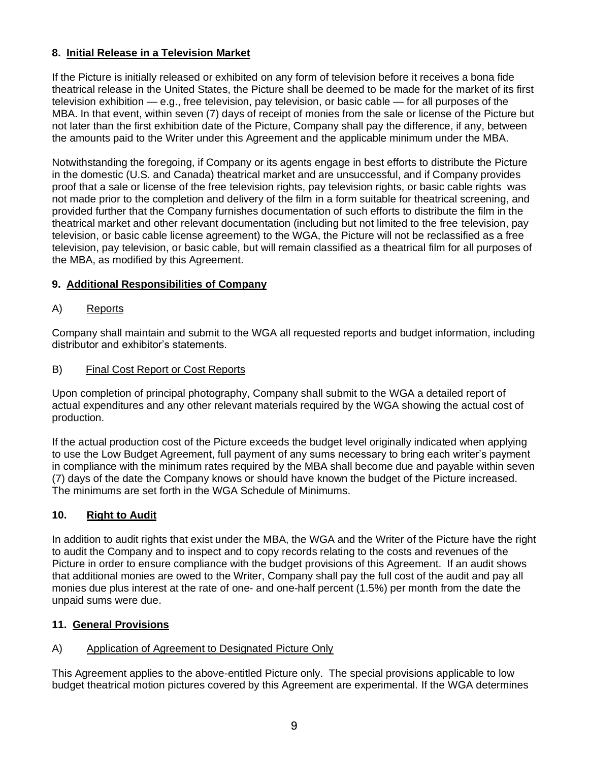## **8. Initial Release in a Television Market**

If the Picture is initially released or exhibited on any form of television before it receives a bona fide theatrical release in the United States, the Picture shall be deemed to be made for the market of its first television exhibition — e.g., free television, pay television, or basic cable — for all purposes of the MBA. In that event, within seven (7) days of receipt of monies from the sale or license of the Picture but not later than the first exhibition date of the Picture, Company shall pay the difference, if any, between the amounts paid to the Writer under this Agreement and the applicable minimum under the MBA.

Notwithstanding the foregoing, if Company or its agents engage in best efforts to distribute the Picture in the domestic (U.S. and Canada) theatrical market and are unsuccessful, and if Company provides proof that a sale or license of the free television rights, pay television rights, or basic cable rights was not made prior to the completion and delivery of the film in a form suitable for theatrical screening, and provided further that the Company furnishes documentation of such efforts to distribute the film in the theatrical market and other relevant documentation (including but not limited to the free television, pay television, or basic cable license agreement) to the WGA, the Picture will not be reclassified as a free television, pay television, or basic cable, but will remain classified as a theatrical film for all purposes of the MBA, as modified by this Agreement.

## **9. Additional Responsibilities of Company**

## A) Reports

Company shall maintain and submit to the WGA all requested reports and budget information, including distributor and exhibitor's statements.

## B) Final Cost Report or Cost Reports

Upon completion of principal photography, Company shall submit to the WGA a detailed report of actual expenditures and any other relevant materials required by the WGA showing the actual cost of production.

If the actual production cost of the Picture exceeds the budget level originally indicated when applying to use the Low Budget Agreement, full payment of any sums necessary to bring each writer's payment in compliance with the minimum rates required by the MBA shall become due and payable within seven (7) days of the date the Company knows or should have known the budget of the Picture increased. The minimums are set forth in the WGA Schedule of Minimums.

## **10. Right to Audit**

In addition to audit rights that exist under the MBA, the WGA and the Writer of the Picture have the right to audit the Company and to inspect and to copy records relating to the costs and revenues of the Picture in order to ensure compliance with the budget provisions of this Agreement. If an audit shows that additional monies are owed to the Writer, Company shall pay the full cost of the audit and pay all monies due plus interest at the rate of one- and one-half percent (1.5%) per month from the date the unpaid sums were due.

### **11. General Provisions**

## A) Application of Agreement to Designated Picture Only

This Agreement applies to the above-entitled Picture only. The special provisions applicable to low budget theatrical motion pictures covered by this Agreement are experimental. If the WGA determines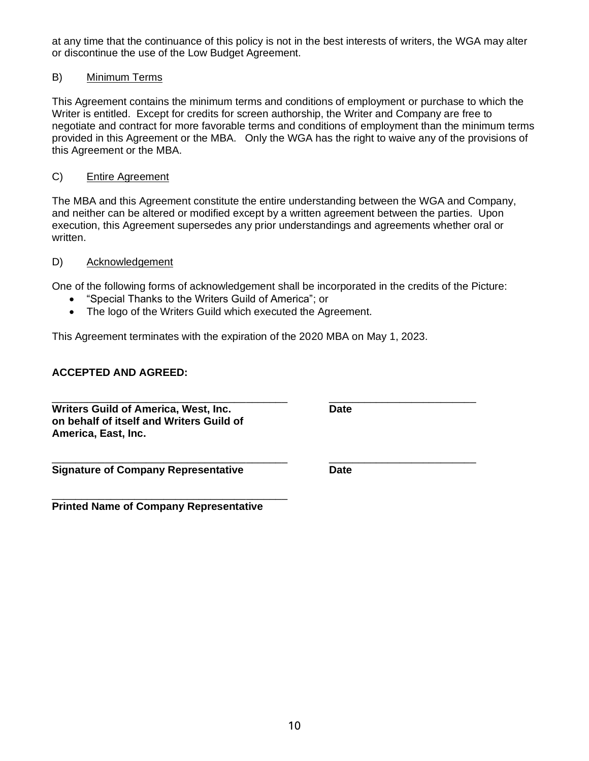at any time that the continuance of this policy is not in the best interests of writers, the WGA may alter or discontinue the use of the Low Budget Agreement.

## B) Minimum Terms

This Agreement contains the minimum terms and conditions of employment or purchase to which the Writer is entitled. Except for credits for screen authorship, the Writer and Company are free to negotiate and contract for more favorable terms and conditions of employment than the minimum terms provided in this Agreement or the MBA. Only the WGA has the right to waive any of the provisions of this Agreement or the MBA.

## C) Entire Agreement

The MBA and this Agreement constitute the entire understanding between the WGA and Company, and neither can be altered or modified except by a written agreement between the parties. Upon execution, this Agreement supersedes any prior understandings and agreements whether oral or written.

### D) Acknowledgement

One of the following forms of acknowledgement shall be incorporated in the credits of the Picture:

- "Special Thanks to the Writers Guild of America"; or
- The logo of the Writers Guild which executed the Agreement.

This Agreement terminates with the expiration of the 2020 MBA on May 1, 2023.

## **ACCEPTED AND AGREED:**

| <b>Writers Guild of America, West, Inc.</b> | <b>Date</b> |  |
|---------------------------------------------|-------------|--|
| on behalf of itself and Writers Guild of    |             |  |
| America, East, Inc.                         |             |  |

\_\_\_\_\_\_\_\_\_\_\_\_\_\_\_\_\_\_\_\_\_\_\_\_\_\_\_\_\_\_\_\_\_\_\_\_\_\_\_\_ \_\_\_\_\_\_\_\_\_\_\_\_\_\_\_\_\_\_\_\_\_\_\_\_\_ **Signature of Company Representative Date**

\_\_\_\_\_\_\_\_\_\_\_\_\_\_\_\_\_\_\_\_\_\_\_\_\_\_\_\_\_\_\_\_\_\_\_\_\_\_\_\_ **Printed Name of Company Representative**